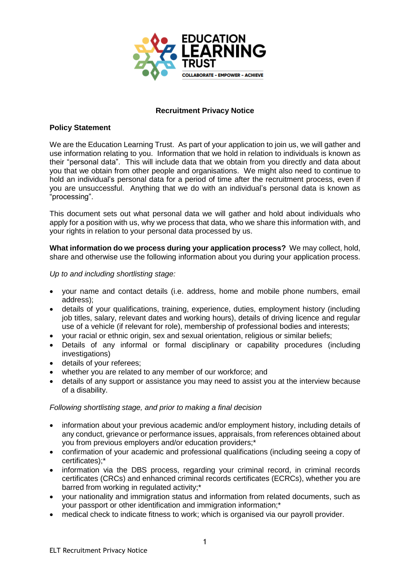

## **Recruitment Privacy Notice**

## **Policy Statement**

We are the Education Learning Trust. As part of your application to join us, we will gather and use information relating to you. Information that we hold in relation to individuals is known as their "personal data". This will include data that we obtain from you directly and data about you that we obtain from other people and organisations. We might also need to continue to hold an individual's personal data for a period of time after the recruitment process, even if you are unsuccessful. Anything that we do with an individual's personal data is known as "processing".

This document sets out what personal data we will gather and hold about individuals who apply for a position with us, why we process that data, who we share this information with, and your rights in relation to your personal data processed by us.

**What information do we process during your application process?** We may collect, hold, share and otherwise use the following information about you during your application process.

*Up to and including shortlisting stage:*

- your name and contact details (i.e. address, home and mobile phone numbers, email address);
- details of your qualifications, training, experience, duties, employment history (including job titles, salary, relevant dates and working hours), details of driving licence and regular use of a vehicle (if relevant for role), membership of professional bodies and interests;
- your racial or ethnic origin, sex and sexual orientation, religious or similar beliefs:
- Details of any informal or formal disciplinary or capability procedures (including investigations)
- details of your referees;
- whether you are related to any member of our workforce; and
- details of any support or assistance you may need to assist you at the interview because of a disability.

## *Following shortlisting stage, and prior to making a final decision*

- information about your previous academic and/or employment history, including details of any conduct, grievance or performance issues, appraisals, from references obtained about you from previous employers and/or education providers;\*
- confirmation of your academic and professional qualifications (including seeing a copy of certificates);\*
- information via the DBS process, regarding your criminal record, in criminal records certificates (CRCs) and enhanced criminal records certificates (ECRCs), whether you are barred from working in regulated activity;\*
- your nationality and immigration status and information from related documents, such as your passport or other identification and immigration information;\*
- medical check to indicate fitness to work; which is organised via our payroll provider.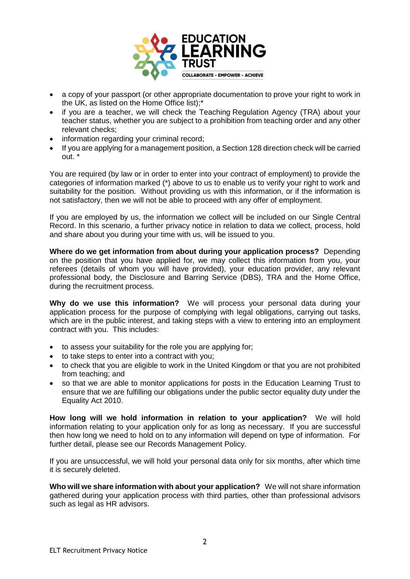

- a copy of your passport (or other appropriate documentation to prove your right to work in the UK, as listed on the Home Office list);\*
- if you are a teacher, we will check the Teaching Regulation Agency (TRA) about your teacher status, whether you are subject to a prohibition from teaching order and any other relevant checks;
- information regarding your criminal record;
- If you are applying for a management position, a Section 128 direction check will be carried out. \*

You are required (by law or in order to enter into your contract of employment) to provide the categories of information marked (\*) above to us to enable us to verify your right to work and suitability for the position. Without providing us with this information, or if the information is not satisfactory, then we will not be able to proceed with any offer of employment.

If you are employed by us, the information we collect will be included on our Single Central Record. In this scenario, a further privacy notice in relation to data we collect, process, hold and share about you during your time with us, will be issued to you.

**Where do we get information from about during your application process?** Depending on the position that you have applied for, we may collect this information from you, your referees (details of whom you will have provided), your education provider, any relevant professional body, the Disclosure and Barring Service (DBS), TRA and the Home Office, during the recruitment process.

**Why do we use this information?** We will process your personal data during your application process for the purpose of complying with legal obligations, carrying out tasks, which are in the public interest, and taking steps with a view to entering into an employment contract with you. This includes:

- to assess your suitability for the role you are applying for;
- to take steps to enter into a contract with you;
- to check that you are eligible to work in the United Kingdom or that you are not prohibited from teaching; and
- so that we are able to monitor applications for posts in the Education Learning Trust to ensure that we are fulfilling our obligations under the public sector equality duty under the Equality Act 2010.

**How long will we hold information in relation to your application?** We will hold information relating to your application only for as long as necessary. If you are successful then how long we need to hold on to any information will depend on type of information. For further detail, please see our Records Management Policy.

If you are unsuccessful, we will hold your personal data only for six months, after which time it is securely deleted.

**Who will we share information with about your application?** We will not share information gathered during your application process with third parties, other than professional advisors such as legal as HR advisors.